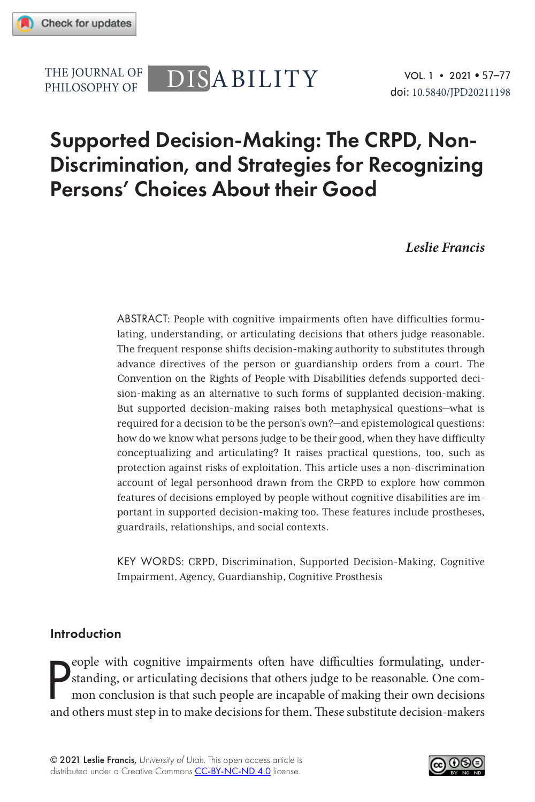PHILOSOPHY OF

# THE JOURNAL OF DISABILITY

## Supported Decision-Making: The CRPD, Non-Discrimination, and Strategies for Recognizing Persons' Choices About their Good

*Leslie Francis*

ABSTRACT: People with cognitive impairments often have difficulties formulating, understanding, or articulating decisions that others judge reasonable. The frequent response shifts decision-making authority to substitutes through advance directives of the person or guardianship orders from a court. The Convention on the Rights of People with Disabilities defends supported decision-making as an alternative to such forms of supplanted decision-making. But supported decision-making raises both metaphysical questions—what is required for a decision to be the person's own?—and epistemological questions: how do we know what persons judge to be their good, when they have difficulty conceptualizing and articulating? It raises practical questions, too, such as protection against risks of exploitation. This article uses a non-discrimination account of legal personhood drawn from the CRPD to explore how common features of decisions employed by people without cognitive disabilities are important in supported decision-making too. These features include prostheses, guardrails, relationships, and social contexts.

KEY WORDS: CRPD, Discrimination, Supported Decision-Making, Cognitive Impairment, Agency, Guardianship, Cognitive Prosthesis

#### Introduction

P eople with cognitive impairments often have difficulties formulating, understanding, or articulating decisions that others judge to be reasonable. One common conclusion is that such people are incapable of making their own decisions and others must step in to make decisions for them. These substitute decision-makers

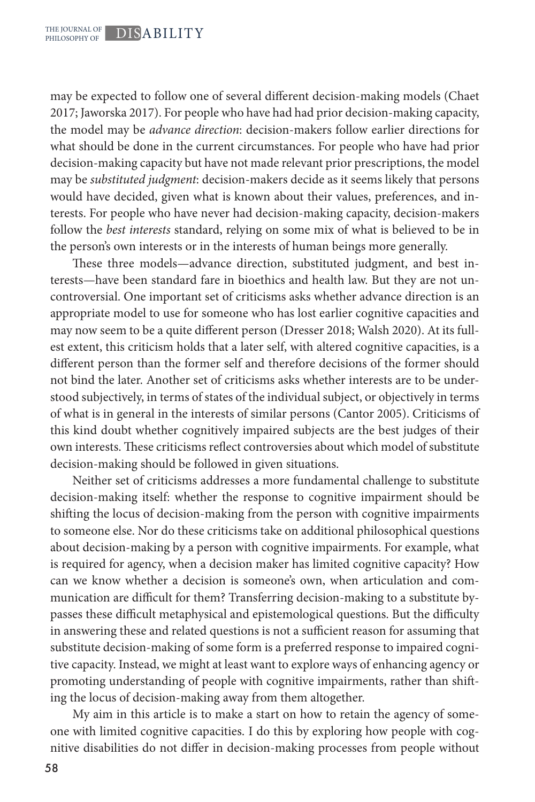may be expected to follow one of several different decision-making models (Chaet 2017; Jaworska 2017). For people who have had had prior decision-making capacity, the model may be *advance direction*: decision-makers follow earlier directions for what should be done in the current circumstances. For people who have had prior decision-making capacity but have not made relevant prior prescriptions, the model may be *substituted judgment*: decision-makers decide as it seems likely that persons would have decided, given what is known about their values, preferences, and interests. For people who have never had decision-making capacity, decision-makers follow the *best interests* standard, relying on some mix of what is believed to be in the person's own interests or in the interests of human beings more generally.

These three models—advance direction, substituted judgment, and best interests—have been standard fare in bioethics and health law. But they are not uncontroversial. One important set of criticisms asks whether advance direction is an appropriate model to use for someone who has lost earlier cognitive capacities and may now seem to be a quite different person (Dresser 2018; Walsh 2020). At its fullest extent, this criticism holds that a later self, with altered cognitive capacities, is a different person than the former self and therefore decisions of the former should not bind the later. Another set of criticisms asks whether interests are to be understood subjectively, in terms of states of the individual subject, or objectively in terms of what is in general in the interests of similar persons (Cantor 2005). Criticisms of this kind doubt whether cognitively impaired subjects are the best judges of their own interests. These criticisms reflect controversies about which model of substitute decision-making should be followed in given situations.

Neither set of criticisms addresses a more fundamental challenge to substitute decision-making itself: whether the response to cognitive impairment should be shifting the locus of decision-making from the person with cognitive impairments to someone else. Nor do these criticisms take on additional philosophical questions about decision-making by a person with cognitive impairments. For example, what is required for agency, when a decision maker has limited cognitive capacity? How can we know whether a decision is someone's own, when articulation and communication are difficult for them? Transferring decision-making to a substitute bypasses these difficult metaphysical and epistemological questions. But the difficulty in answering these and related questions is not a sufficient reason for assuming that substitute decision-making of some form is a preferred response to impaired cognitive capacity. Instead, we might at least want to explore ways of enhancing agency or promoting understanding of people with cognitive impairments, rather than shifting the locus of decision-making away from them altogether.

My aim in this article is to make a start on how to retain the agency of someone with limited cognitive capacities. I do this by exploring how people with cognitive disabilities do not differ in decision-making processes from people without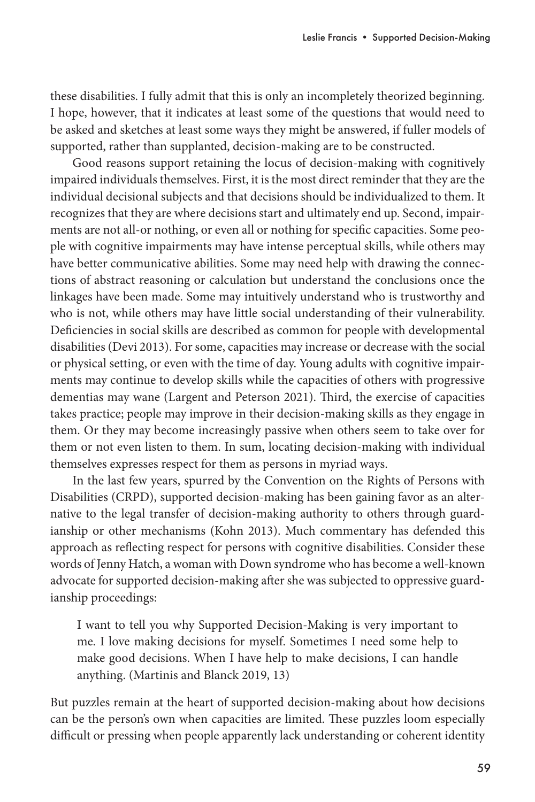these disabilities. I fully admit that this is only an incompletely theorized beginning. I hope, however, that it indicates at least some of the questions that would need to be asked and sketches at least some ways they might be answered, if fuller models of supported, rather than supplanted, decision-making are to be constructed.

Good reasons support retaining the locus of decision-making with cognitively impaired individuals themselves. First, it is the most direct reminder that they are the individual decisional subjects and that decisions should be individualized to them. It recognizes that they are where decisions start and ultimately end up. Second, impairments are not all-or nothing, or even all or nothing for specific capacities. Some people with cognitive impairments may have intense perceptual skills, while others may have better communicative abilities. Some may need help with drawing the connections of abstract reasoning or calculation but understand the conclusions once the linkages have been made. Some may intuitively understand who is trustworthy and who is not, while others may have little social understanding of their vulnerability. Deficiencies in social skills are described as common for people with developmental disabilities (Devi 2013). For some, capacities may increase or decrease with the social or physical setting, or even with the time of day. Young adults with cognitive impairments may continue to develop skills while the capacities of others with progressive dementias may wane (Largent and Peterson 2021). Third, the exercise of capacities takes practice; people may improve in their decision-making skills as they engage in them. Or they may become increasingly passive when others seem to take over for them or not even listen to them. In sum, locating decision-making with individual themselves expresses respect for them as persons in myriad ways.

In the last few years, spurred by the Convention on the Rights of Persons with Disabilities (CRPD), supported decision-making has been gaining favor as an alternative to the legal transfer of decision-making authority to others through guardianship or other mechanisms (Kohn 2013). Much commentary has defended this approach as reflecting respect for persons with cognitive disabilities. Consider these words of Jenny Hatch, a woman with Down syndrome who has become a well-known advocate for supported decision-making after she was subjected to oppressive guardianship proceedings:

I want to tell you why Supported Decision-Making is very important to me. I love making decisions for myself. Sometimes I need some help to make good decisions. When I have help to make decisions, I can handle anything. (Martinis and Blanck 2019, 13)

But puzzles remain at the heart of supported decision-making about how decisions can be the person's own when capacities are limited. These puzzles loom especially difficult or pressing when people apparently lack understanding or coherent identity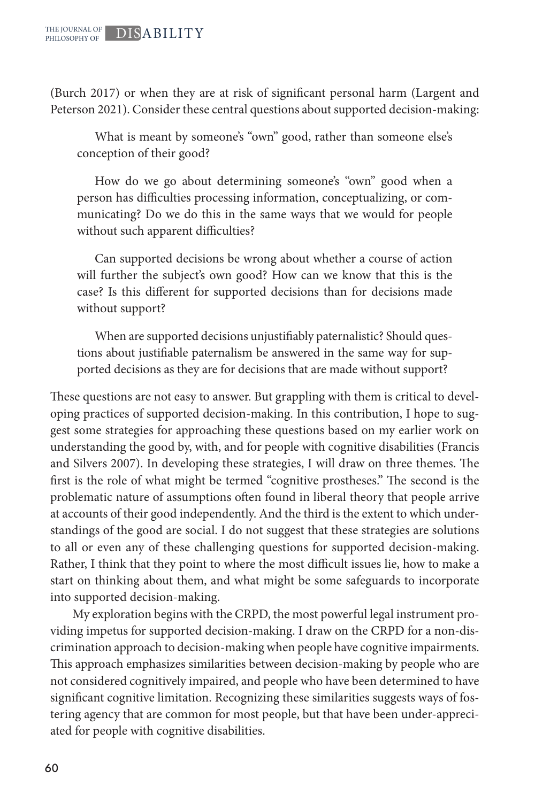(Burch 2017) or when they are at risk of significant personal harm (Largent and Peterson 2021). Consider these central questions about supported decision-making:

What is meant by someone's "own" good, rather than someone else's conception of their good?

How do we go about determining someone's "own" good when a person has difficulties processing information, conceptualizing, or communicating? Do we do this in the same ways that we would for people without such apparent difficulties?

Can supported decisions be wrong about whether a course of action will further the subject's own good? How can we know that this is the case? Is this different for supported decisions than for decisions made without support?

When are supported decisions unjustifiably paternalistic? Should questions about justifiable paternalism be answered in the same way for supported decisions as they are for decisions that are made without support?

These questions are not easy to answer. But grappling with them is critical to developing practices of supported decision-making. In this contribution, I hope to suggest some strategies for approaching these questions based on my earlier work on understanding the good by, with, and for people with cognitive disabilities (Francis and Silvers 2007). In developing these strategies, I will draw on three themes. The first is the role of what might be termed "cognitive prostheses." The second is the problematic nature of assumptions often found in liberal theory that people arrive at accounts of their good independently. And the third is the extent to which understandings of the good are social. I do not suggest that these strategies are solutions to all or even any of these challenging questions for supported decision-making. Rather, I think that they point to where the most difficult issues lie, how to make a start on thinking about them, and what might be some safeguards to incorporate into supported decision-making.

My exploration begins with the CRPD, the most powerful legal instrument providing impetus for supported decision-making. I draw on the CRPD for a non-discrimination approach to decision-making when people have cognitive impairments. This approach emphasizes similarities between decision-making by people who are not considered cognitively impaired, and people who have been determined to have significant cognitive limitation. Recognizing these similarities suggests ways of fostering agency that are common for most people, but that have been under-appreciated for people with cognitive disabilities.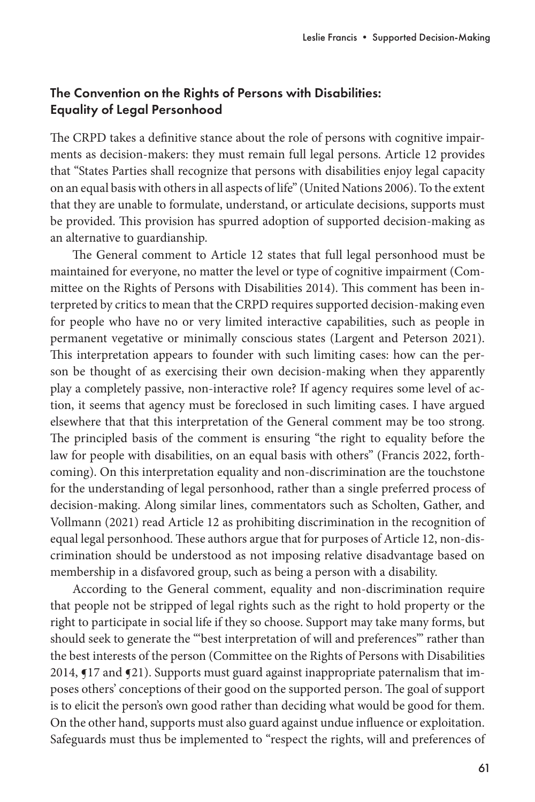## The Convention on the Rights of Persons with Disabilities: Equality of Legal Personhood

The CRPD takes a definitive stance about the role of persons with cognitive impairments as decision-makers: they must remain full legal persons. Article 12 provides that "States Parties shall recognize that persons with disabilities enjoy legal capacity on an equal basis with others in all aspects of life" (United Nations 2006). To the extent that they are unable to formulate, understand, or articulate decisions, supports must be provided. This provision has spurred adoption of supported decision-making as an alternative to guardianship.

The General comment to Article 12 states that full legal personhood must be maintained for everyone, no matter the level or type of cognitive impairment (Committee on the Rights of Persons with Disabilities 2014). This comment has been interpreted by critics to mean that the CRPD requires supported decision-making even for people who have no or very limited interactive capabilities, such as people in permanent vegetative or minimally conscious states (Largent and Peterson 2021). This interpretation appears to founder with such limiting cases: how can the person be thought of as exercising their own decision-making when they apparently play a completely passive, non-interactive role? If agency requires some level of action, it seems that agency must be foreclosed in such limiting cases. I have argued elsewhere that that this interpretation of the General comment may be too strong. The principled basis of the comment is ensuring "the right to equality before the law for people with disabilities, on an equal basis with others" (Francis 2022, forthcoming). On this interpretation equality and non-discrimination are the touchstone for the understanding of legal personhood, rather than a single preferred process of decision-making. Along similar lines, commentators such as Scholten, Gather, and Vollmann (2021) read Article 12 as prohibiting discrimination in the recognition of equal legal personhood. These authors argue that for purposes of Article 12, non-discrimination should be understood as not imposing relative disadvantage based on membership in a disfavored group, such as being a person with a disability.

According to the General comment, equality and non-discrimination require that people not be stripped of legal rights such as the right to hold property or the right to participate in social life if they so choose. Support may take many forms, but should seek to generate the "'best interpretation of will and preferences'" rather than the best interests of the person (Committee on the Rights of Persons with Disabilities 2014, ¶17 and ¶21). Supports must guard against inappropriate paternalism that imposes others' conceptions of their good on the supported person. The goal of support is to elicit the person's own good rather than deciding what would be good for them. On the other hand, supports must also guard against undue influence or exploitation. Safeguards must thus be implemented to "respect the rights, will and preferences of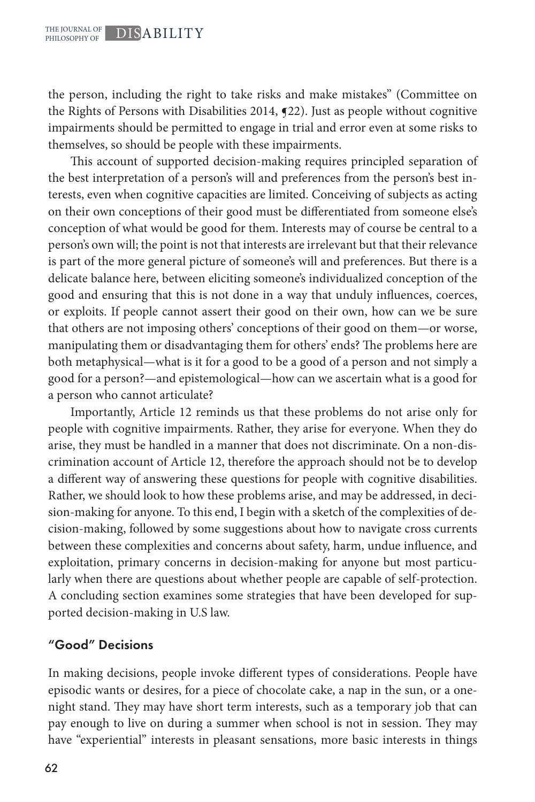the person, including the right to take risks and make mistakes" (Committee on the Rights of Persons with Disabilities 2014, ¶22). Just as people without cognitive impairments should be permitted to engage in trial and error even at some risks to themselves, so should be people with these impairments.

This account of supported decision-making requires principled separation of the best interpretation of a person's will and preferences from the person's best interests, even when cognitive capacities are limited. Conceiving of subjects as acting on their own conceptions of their good must be differentiated from someone else's conception of what would be good for them. Interests may of course be central to a person's own will; the point is not that interests are irrelevant but that their relevance is part of the more general picture of someone's will and preferences. But there is a delicate balance here, between eliciting someone's individualized conception of the good and ensuring that this is not done in a way that unduly influences, coerces, or exploits. If people cannot assert their good on their own, how can we be sure that others are not imposing others' conceptions of their good on them—or worse, manipulating them or disadvantaging them for others' ends? The problems here are both metaphysical—what is it for a good to be a good of a person and not simply a good for a person?—and epistemological—how can we ascertain what is a good for a person who cannot articulate?

Importantly, Article 12 reminds us that these problems do not arise only for people with cognitive impairments. Rather, they arise for everyone. When they do arise, they must be handled in a manner that does not discriminate. On a non-discrimination account of Article 12, therefore the approach should not be to develop a different way of answering these questions for people with cognitive disabilities. Rather, we should look to how these problems arise, and may be addressed, in decision-making for anyone. To this end, I begin with a sketch of the complexities of decision-making, followed by some suggestions about how to navigate cross currents between these complexities and concerns about safety, harm, undue influence, and exploitation, primary concerns in decision-making for anyone but most particularly when there are questions about whether people are capable of self-protection. A concluding section examines some strategies that have been developed for supported decision-making in U.S law.

#### "Good" Decisions

In making decisions, people invoke different types of considerations. People have episodic wants or desires, for a piece of chocolate cake, a nap in the sun, or a onenight stand. They may have short term interests, such as a temporary job that can pay enough to live on during a summer when school is not in session. They may have "experiential" interests in pleasant sensations, more basic interests in things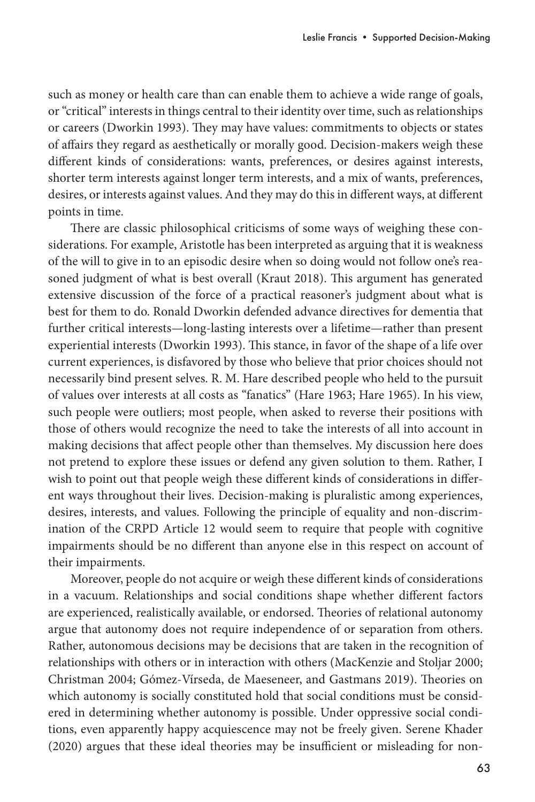such as money or health care than can enable them to achieve a wide range of goals, or "critical" interests in things central to their identity over time, such as relationships or careers (Dworkin 1993). They may have values: commitments to objects or states of affairs they regard as aesthetically or morally good. Decision-makers weigh these different kinds of considerations: wants, preferences, or desires against interests, shorter term interests against longer term interests, and a mix of wants, preferences, desires, or interests against values. And they may do this in different ways, at different points in time.

There are classic philosophical criticisms of some ways of weighing these considerations. For example, Aristotle has been interpreted as arguing that it is weakness of the will to give in to an episodic desire when so doing would not follow one's reasoned judgment of what is best overall (Kraut 2018). This argument has generated extensive discussion of the force of a practical reasoner's judgment about what is best for them to do. Ronald Dworkin defended advance directives for dementia that further critical interests—long-lasting interests over a lifetime—rather than present experiential interests (Dworkin 1993). This stance, in favor of the shape of a life over current experiences, is disfavored by those who believe that prior choices should not necessarily bind present selves. R. M. Hare described people who held to the pursuit of values over interests at all costs as "fanatics" (Hare 1963; Hare 1965). In his view, such people were outliers; most people, when asked to reverse their positions with those of others would recognize the need to take the interests of all into account in making decisions that affect people other than themselves. My discussion here does not pretend to explore these issues or defend any given solution to them. Rather, I wish to point out that people weigh these different kinds of considerations in different ways throughout their lives. Decision-making is pluralistic among experiences, desires, interests, and values. Following the principle of equality and non-discrimination of the CRPD Article 12 would seem to require that people with cognitive impairments should be no different than anyone else in this respect on account of their impairments.

Moreover, people do not acquire or weigh these different kinds of considerations in a vacuum. Relationships and social conditions shape whether different factors are experienced, realistically available, or endorsed. Theories of relational autonomy argue that autonomy does not require independence of or separation from others. Rather, autonomous decisions may be decisions that are taken in the recognition of relationships with others or in interaction with others (MacKenzie and Stoljar 2000; Christman 2004; Gómez-Vírseda, de Maeseneer, and Gastmans 2019). Theories on which autonomy is socially constituted hold that social conditions must be considered in determining whether autonomy is possible. Under oppressive social conditions, even apparently happy acquiescence may not be freely given. Serene Khader (2020) argues that these ideal theories may be insufficient or misleading for non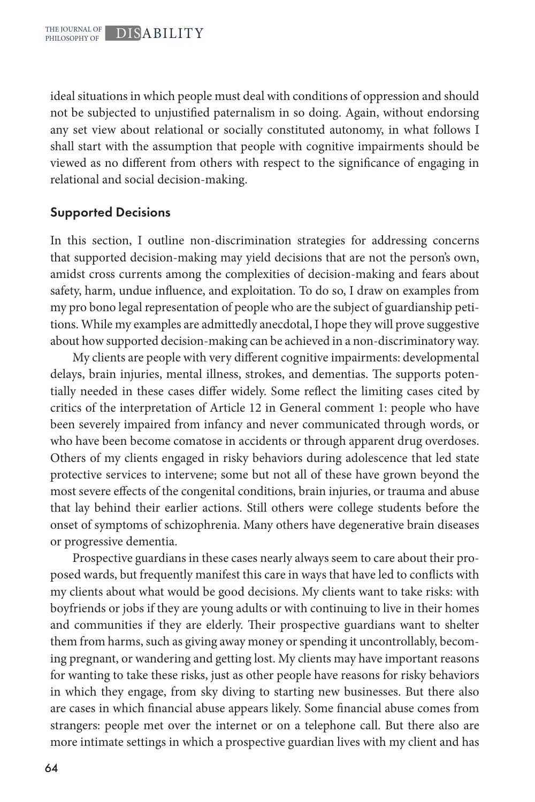ideal situations in which people must deal with conditions of oppression and should not be subjected to unjustified paternalism in so doing. Again, without endorsing any set view about relational or socially constituted autonomy, in what follows I shall start with the assumption that people with cognitive impairments should be viewed as no different from others with respect to the significance of engaging in relational and social decision-making.

#### Supported Decisions

In this section, I outline non-discrimination strategies for addressing concerns that supported decision-making may yield decisions that are not the person's own, amidst cross currents among the complexities of decision-making and fears about safety, harm, undue influence, and exploitation. To do so, I draw on examples from my pro bono legal representation of people who are the subject of guardianship petitions. While my examples are admittedly anecdotal, I hope they will prove suggestive about how supported decision-making can be achieved in a non-discriminatory way.

My clients are people with very different cognitive impairments: developmental delays, brain injuries, mental illness, strokes, and dementias. The supports potentially needed in these cases differ widely. Some reflect the limiting cases cited by critics of the interpretation of Article 12 in General comment 1: people who have been severely impaired from infancy and never communicated through words, or who have been become comatose in accidents or through apparent drug overdoses. Others of my clients engaged in risky behaviors during adolescence that led state protective services to intervene; some but not all of these have grown beyond the most severe effects of the congenital conditions, brain injuries, or trauma and abuse that lay behind their earlier actions. Still others were college students before the onset of symptoms of schizophrenia. Many others have degenerative brain diseases or progressive dementia.

Prospective guardians in these cases nearly always seem to care about their proposed wards, but frequently manifest this care in ways that have led to conflicts with my clients about what would be good decisions. My clients want to take risks: with boyfriends or jobs if they are young adults or with continuing to live in their homes and communities if they are elderly. Their prospective guardians want to shelter them from harms, such as giving away money or spending it uncontrollably, becoming pregnant, or wandering and getting lost. My clients may have important reasons for wanting to take these risks, just as other people have reasons for risky behaviors in which they engage, from sky diving to starting new businesses. But there also are cases in which financial abuse appears likely. Some financial abuse comes from strangers: people met over the internet or on a telephone call. But there also are more intimate settings in which a prospective guardian lives with my client and has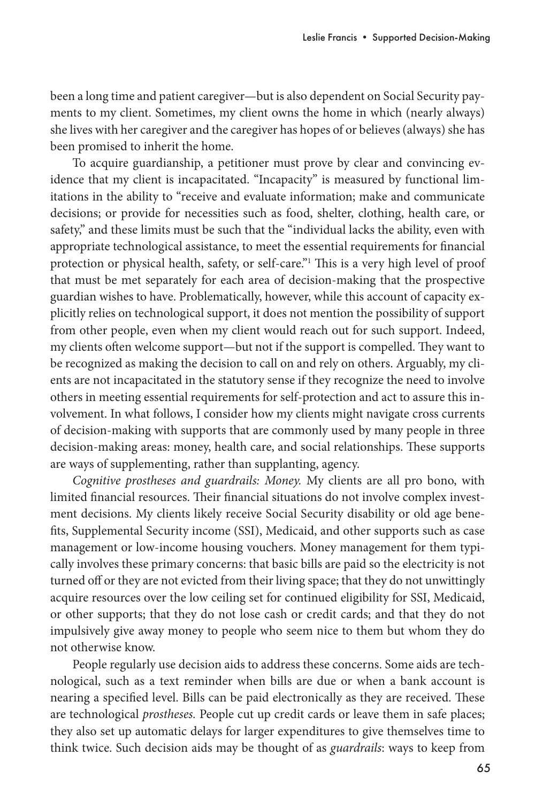been a long time and patient caregiver—but is also dependent on Social Security payments to my client. Sometimes, my client owns the home in which (nearly always) she lives with her caregiver and the caregiver has hopes of or believes (always) she has been promised to inherit the home.

To acquire guardianship, a petitioner must prove by clear and convincing evidence that my client is incapacitated. "Incapacity" is measured by functional limitations in the ability to "receive and evaluate information; make and communicate decisions; or provide for necessities such as food, shelter, clothing, health care, or safety," and these limits must be such that the "individual lacks the ability, even with appropriate technological assistance, to meet the essential requirements for financial protection or physical health, safety, or self-care."1 This is a very high level of proof that must be met separately for each area of decision-making that the prospective guardian wishes to have. Problematically, however, while this account of capacity explicitly relies on technological support, it does not mention the possibility of support from other people, even when my client would reach out for such support. Indeed, my clients often welcome support—but not if the support is compelled. They want to be recognized as making the decision to call on and rely on others. Arguably, my clients are not incapacitated in the statutory sense if they recognize the need to involve others in meeting essential requirements for self-protection and act to assure this involvement. In what follows, I consider how my clients might navigate cross currents of decision-making with supports that are commonly used by many people in three decision-making areas: money, health care, and social relationships. These supports are ways of supplementing, rather than supplanting, agency.

*Cognitive prostheses and guardrails: Money.* My clients are all pro bono, with limited financial resources. Their financial situations do not involve complex investment decisions. My clients likely receive Social Security disability or old age benefits, Supplemental Security income (SSI), Medicaid, and other supports such as case management or low-income housing vouchers. Money management for them typically involves these primary concerns: that basic bills are paid so the electricity is not turned off or they are not evicted from their living space; that they do not unwittingly acquire resources over the low ceiling set for continued eligibility for SSI, Medicaid, or other supports; that they do not lose cash or credit cards; and that they do not impulsively give away money to people who seem nice to them but whom they do not otherwise know.

People regularly use decision aids to address these concerns. Some aids are technological, such as a text reminder when bills are due or when a bank account is nearing a specified level. Bills can be paid electronically as they are received. These are technological *prostheses.* People cut up credit cards or leave them in safe places; they also set up automatic delays for larger expenditures to give themselves time to think twice. Such decision aids may be thought of as *guardrails*: ways to keep from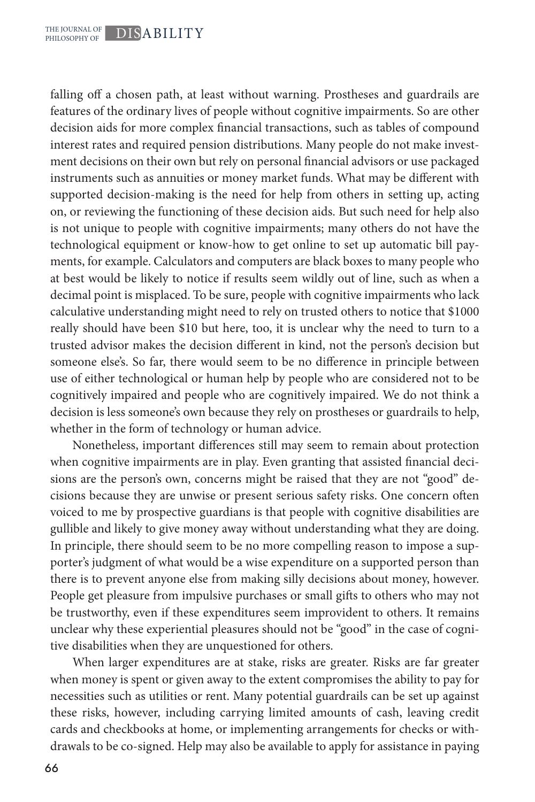falling off a chosen path, at least without warning. Prostheses and guardrails are features of the ordinary lives of people without cognitive impairments. So are other decision aids for more complex financial transactions, such as tables of compound interest rates and required pension distributions. Many people do not make investment decisions on their own but rely on personal financial advisors or use packaged instruments such as annuities or money market funds. What may be different with supported decision-making is the need for help from others in setting up, acting on, or reviewing the functioning of these decision aids. But such need for help also is not unique to people with cognitive impairments; many others do not have the technological equipment or know-how to get online to set up automatic bill payments, for example. Calculators and computers are black boxes to many people who at best would be likely to notice if results seem wildly out of line, such as when a decimal point is misplaced. To be sure, people with cognitive impairments who lack calculative understanding might need to rely on trusted others to notice that \$1000 really should have been \$10 but here, too, it is unclear why the need to turn to a trusted advisor makes the decision different in kind, not the person's decision but someone else's. So far, there would seem to be no difference in principle between use of either technological or human help by people who are considered not to be cognitively impaired and people who are cognitively impaired. We do not think a decision is less someone's own because they rely on prostheses or guardrails to help, whether in the form of technology or human advice.

Nonetheless, important differences still may seem to remain about protection when cognitive impairments are in play. Even granting that assisted financial decisions are the person's own, concerns might be raised that they are not "good" decisions because they are unwise or present serious safety risks. One concern often voiced to me by prospective guardians is that people with cognitive disabilities are gullible and likely to give money away without understanding what they are doing. In principle, there should seem to be no more compelling reason to impose a supporter's judgment of what would be a wise expenditure on a supported person than there is to prevent anyone else from making silly decisions about money, however. People get pleasure from impulsive purchases or small gifts to others who may not be trustworthy, even if these expenditures seem improvident to others. It remains unclear why these experiential pleasures should not be "good" in the case of cognitive disabilities when they are unquestioned for others.

When larger expenditures are at stake, risks are greater. Risks are far greater when money is spent or given away to the extent compromises the ability to pay for necessities such as utilities or rent. Many potential guardrails can be set up against these risks, however, including carrying limited amounts of cash, leaving credit cards and checkbooks at home, or implementing arrangements for checks or withdrawals to be co-signed. Help may also be available to apply for assistance in paying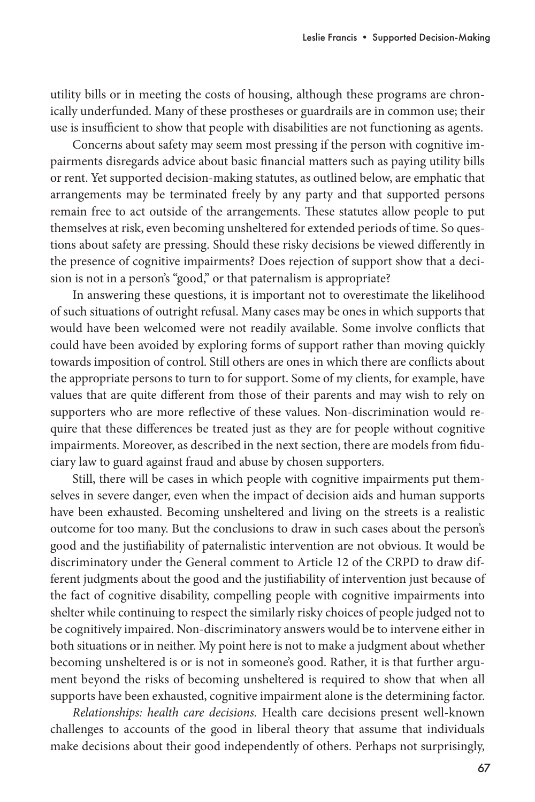utility bills or in meeting the costs of housing, although these programs are chronically underfunded. Many of these prostheses or guardrails are in common use; their use is insufficient to show that people with disabilities are not functioning as agents.

Concerns about safety may seem most pressing if the person with cognitive impairments disregards advice about basic financial matters such as paying utility bills or rent. Yet supported decision-making statutes, as outlined below, are emphatic that arrangements may be terminated freely by any party and that supported persons remain free to act outside of the arrangements. These statutes allow people to put themselves at risk, even becoming unsheltered for extended periods of time. So questions about safety are pressing. Should these risky decisions be viewed differently in the presence of cognitive impairments? Does rejection of support show that a decision is not in a person's "good," or that paternalism is appropriate?

In answering these questions, it is important not to overestimate the likelihood of such situations of outright refusal. Many cases may be ones in which supports that would have been welcomed were not readily available. Some involve conflicts that could have been avoided by exploring forms of support rather than moving quickly towards imposition of control. Still others are ones in which there are conflicts about the appropriate persons to turn to for support. Some of my clients, for example, have values that are quite different from those of their parents and may wish to rely on supporters who are more reflective of these values. Non-discrimination would require that these differences be treated just as they are for people without cognitive impairments. Moreover, as described in the next section, there are models from fiduciary law to guard against fraud and abuse by chosen supporters.

Still, there will be cases in which people with cognitive impairments put themselves in severe danger, even when the impact of decision aids and human supports have been exhausted. Becoming unsheltered and living on the streets is a realistic outcome for too many. But the conclusions to draw in such cases about the person's good and the justifiability of paternalistic intervention are not obvious. It would be discriminatory under the General comment to Article 12 of the CRPD to draw different judgments about the good and the justifiability of intervention just because of the fact of cognitive disability, compelling people with cognitive impairments into shelter while continuing to respect the similarly risky choices of people judged not to be cognitively impaired. Non-discriminatory answers would be to intervene either in both situations or in neither. My point here is not to make a judgment about whether becoming unsheltered is or is not in someone's good. Rather, it is that further argument beyond the risks of becoming unsheltered is required to show that when all supports have been exhausted, cognitive impairment alone is the determining factor.

*Relationships: health care decisions.* Health care decisions present well-known challenges to accounts of the good in liberal theory that assume that individuals make decisions about their good independently of others. Perhaps not surprisingly,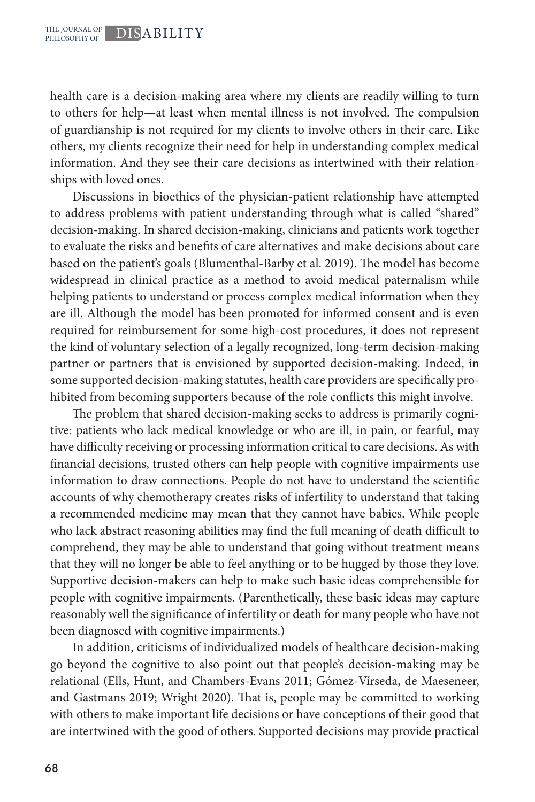health care is a decision-making area where my clients are readily willing to turn to others for help—at least when mental illness is not involved. The compulsion of guardianship is not required for my clients to involve others in their care. Like others, my clients recognize their need for help in understanding complex medical information. And they see their care decisions as intertwined with their relationships with loved ones.

Discussions in bioethics of the physician-patient relationship have attempted to address problems with patient understanding through what is called "shared" decision-making. In shared decision-making, clinicians and patients work together to evaluate the risks and benefits of care alternatives and make decisions about care based on the patient's goals (Blumenthal-Barby et al. 2019). The model has become widespread in clinical practice as a method to avoid medical paternalism while helping patients to understand or process complex medical information when they are ill. Although the model has been promoted for informed consent and is even required for reimbursement for some high-cost procedures, it does not represent the kind of voluntary selection of a legally recognized, long-term decision-making partner or partners that is envisioned by supported decision-making. Indeed, in some supported decision-making statutes, health care providers are specifically prohibited from becoming supporters because of the role conflicts this might involve.

The problem that shared decision-making seeks to address is primarily cognitive: patients who lack medical knowledge or who are ill, in pain, or fearful, may have difficulty receiving or processing information critical to care decisions. As with financial decisions, trusted others can help people with cognitive impairments use information to draw connections. People do not have to understand the scientific accounts of why chemotherapy creates risks of infertility to understand that taking a recommended medicine may mean that they cannot have babies. While people who lack abstract reasoning abilities may find the full meaning of death difficult to comprehend, they may be able to understand that going without treatment means that they will no longer be able to feel anything or to be hugged by those they love. Supportive decision-makers can help to make such basic ideas comprehensible for people with cognitive impairments. (Parenthetically, these basic ideas may capture reasonably well the significance of infertility or death for many people who have not been diagnosed with cognitive impairments.)

In addition, criticisms of individualized models of healthcare decision-making go beyond the cognitive to also point out that people's decision-making may be relational (Ells, Hunt, and Chambers-Evans 2011; Gómez-Vírseda, de Maeseneer, and Gastmans 2019; Wright 2020). That is, people may be committed to working with others to make important life decisions or have conceptions of their good that are intertwined with the good of others. Supported decisions may provide practical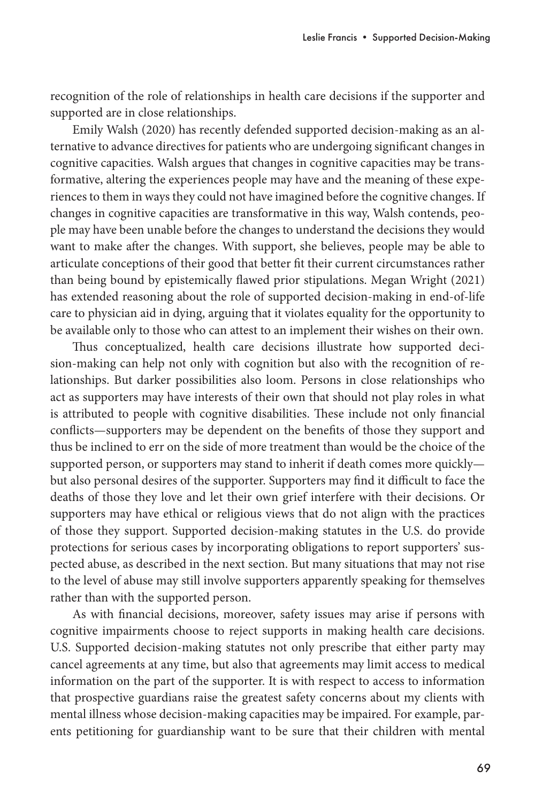recognition of the role of relationships in health care decisions if the supporter and supported are in close relationships.

Emily Walsh (2020) has recently defended supported decision-making as an alternative to advance directives for patients who are undergoing significant changes in cognitive capacities. Walsh argues that changes in cognitive capacities may be transformative, altering the experiences people may have and the meaning of these experiences to them in ways they could not have imagined before the cognitive changes. If changes in cognitive capacities are transformative in this way, Walsh contends, people may have been unable before the changes to understand the decisions they would want to make after the changes. With support, she believes, people may be able to articulate conceptions of their good that better fit their current circumstances rather than being bound by epistemically flawed prior stipulations. Megan Wright (2021) has extended reasoning about the role of supported decision-making in end-of-life care to physician aid in dying, arguing that it violates equality for the opportunity to be available only to those who can attest to an implement their wishes on their own.

Thus conceptualized, health care decisions illustrate how supported decision-making can help not only with cognition but also with the recognition of relationships. But darker possibilities also loom. Persons in close relationships who act as supporters may have interests of their own that should not play roles in what is attributed to people with cognitive disabilities. These include not only financial conflicts—supporters may be dependent on the benefits of those they support and thus be inclined to err on the side of more treatment than would be the choice of the supported person, or supporters may stand to inherit if death comes more quickly but also personal desires of the supporter. Supporters may find it difficult to face the deaths of those they love and let their own grief interfere with their decisions. Or supporters may have ethical or religious views that do not align with the practices of those they support. Supported decision-making statutes in the U.S. do provide protections for serious cases by incorporating obligations to report supporters' suspected abuse, as described in the next section. But many situations that may not rise to the level of abuse may still involve supporters apparently speaking for themselves rather than with the supported person.

As with financial decisions, moreover, safety issues may arise if persons with cognitive impairments choose to reject supports in making health care decisions. U.S. Supported decision-making statutes not only prescribe that either party may cancel agreements at any time, but also that agreements may limit access to medical information on the part of the supporter. It is with respect to access to information that prospective guardians raise the greatest safety concerns about my clients with mental illness whose decision-making capacities may be impaired. For example, parents petitioning for guardianship want to be sure that their children with mental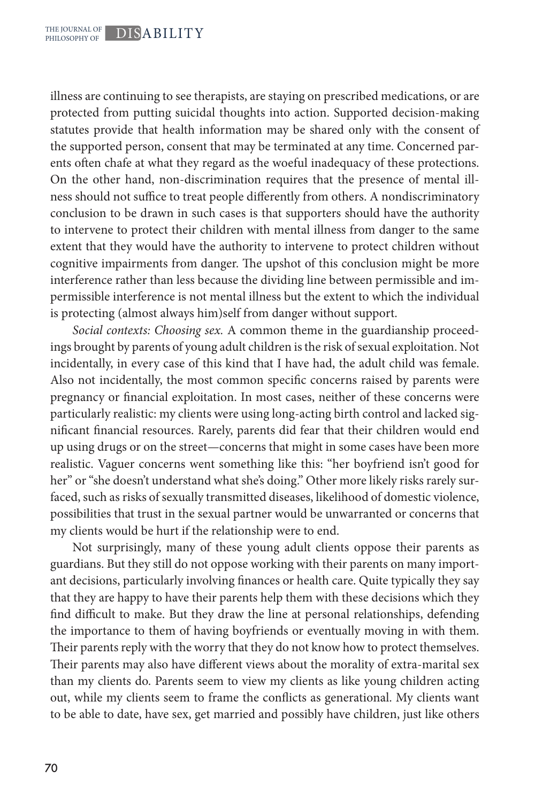illness are continuing to see therapists, are staying on prescribed medications, or are protected from putting suicidal thoughts into action. Supported decision-making statutes provide that health information may be shared only with the consent of the supported person, consent that may be terminated at any time. Concerned parents often chafe at what they regard as the woeful inadequacy of these protections. On the other hand, non-discrimination requires that the presence of mental illness should not suffice to treat people differently from others. A nondiscriminatory conclusion to be drawn in such cases is that supporters should have the authority to intervene to protect their children with mental illness from danger to the same extent that they would have the authority to intervene to protect children without cognitive impairments from danger. The upshot of this conclusion might be more interference rather than less because the dividing line between permissible and impermissible interference is not mental illness but the extent to which the individual is protecting (almost always him)self from danger without support.

*Social contexts: Choosing sex.* A common theme in the guardianship proceedings brought by parents of young adult children is the risk of sexual exploitation. Not incidentally, in every case of this kind that I have had, the adult child was female. Also not incidentally, the most common specific concerns raised by parents were pregnancy or financial exploitation. In most cases, neither of these concerns were particularly realistic: my clients were using long-acting birth control and lacked significant financial resources. Rarely, parents did fear that their children would end up using drugs or on the street—concerns that might in some cases have been more realistic. Vaguer concerns went something like this: "her boyfriend isn't good for her" or "she doesn't understand what she's doing." Other more likely risks rarely surfaced, such as risks of sexually transmitted diseases, likelihood of domestic violence, possibilities that trust in the sexual partner would be unwarranted or concerns that my clients would be hurt if the relationship were to end.

Not surprisingly, many of these young adult clients oppose their parents as guardians. But they still do not oppose working with their parents on many important decisions, particularly involving finances or health care. Quite typically they say that they are happy to have their parents help them with these decisions which they find difficult to make. But they draw the line at personal relationships, defending the importance to them of having boyfriends or eventually moving in with them. Their parents reply with the worry that they do not know how to protect themselves. Their parents may also have different views about the morality of extra-marital sex than my clients do. Parents seem to view my clients as like young children acting out, while my clients seem to frame the conflicts as generational. My clients want to be able to date, have sex, get married and possibly have children, just like others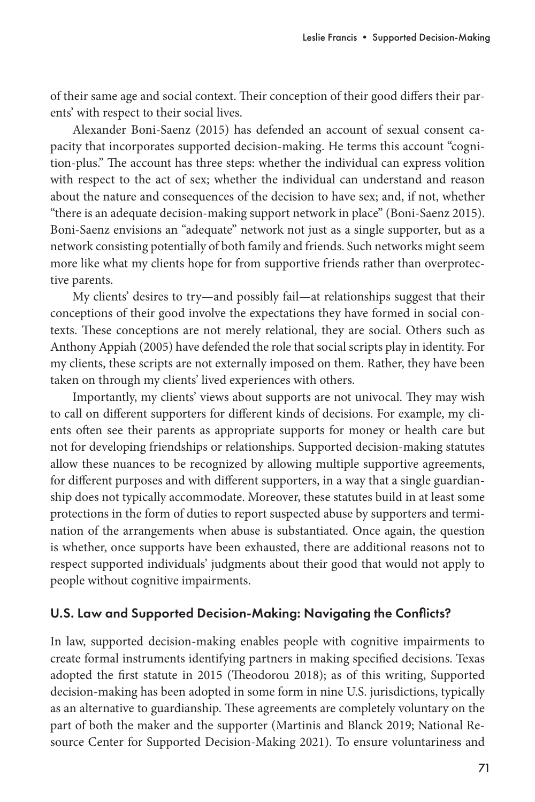of their same age and social context. Their conception of their good differs their parents' with respect to their social lives.

Alexander Boni-Saenz (2015) has defended an account of sexual consent capacity that incorporates supported decision-making. He terms this account "cognition-plus." The account has three steps: whether the individual can express volition with respect to the act of sex; whether the individual can understand and reason about the nature and consequences of the decision to have sex; and, if not, whether "there is an adequate decision-making support network in place" (Boni-Saenz 2015). Boni-Saenz envisions an "adequate" network not just as a single supporter, but as a network consisting potentially of both family and friends. Such networks might seem more like what my clients hope for from supportive friends rather than overprotective parents.

My clients' desires to try—and possibly fail—at relationships suggest that their conceptions of their good involve the expectations they have formed in social contexts. These conceptions are not merely relational, they are social. Others such as Anthony Appiah (2005) have defended the role that social scripts play in identity. For my clients, these scripts are not externally imposed on them. Rather, they have been taken on through my clients' lived experiences with others.

Importantly, my clients' views about supports are not univocal. They may wish to call on different supporters for different kinds of decisions. For example, my clients often see their parents as appropriate supports for money or health care but not for developing friendships or relationships. Supported decision-making statutes allow these nuances to be recognized by allowing multiple supportive agreements, for different purposes and with different supporters, in a way that a single guardianship does not typically accommodate. Moreover, these statutes build in at least some protections in the form of duties to report suspected abuse by supporters and termination of the arrangements when abuse is substantiated. Once again, the question is whether, once supports have been exhausted, there are additional reasons not to respect supported individuals' judgments about their good that would not apply to people without cognitive impairments.

## U.S. Law and Supported Decision-Making: Navigating the Conflicts?

In law, supported decision-making enables people with cognitive impairments to create formal instruments identifying partners in making specified decisions. Texas adopted the first statute in 2015 (Theodorou 2018); as of this writing, Supported decision-making has been adopted in some form in nine U.S. jurisdictions, typically as an alternative to guardianship. These agreements are completely voluntary on the part of both the maker and the supporter (Martinis and Blanck 2019; National Resource Center for Supported Decision-Making 2021). To ensure voluntariness and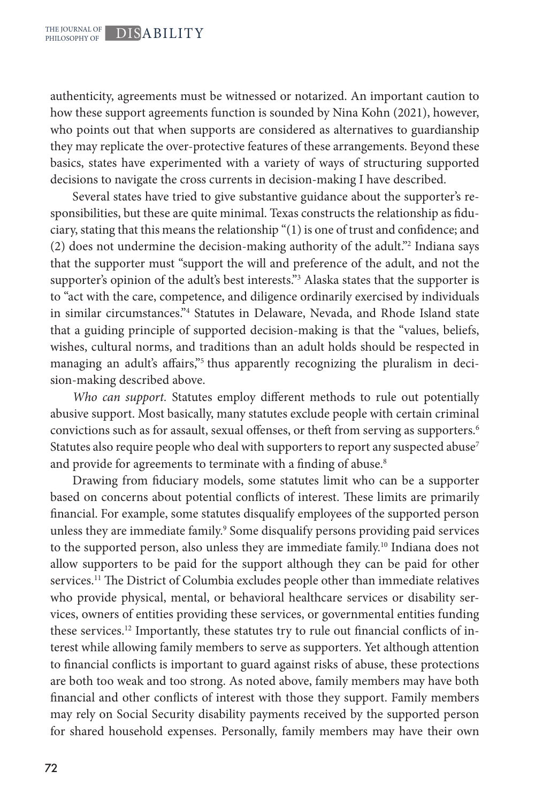authenticity, agreements must be witnessed or notarized. An important caution to how these support agreements function is sounded by Nina Kohn (2021), however, who points out that when supports are considered as alternatives to guardianship they may replicate the over-protective features of these arrangements. Beyond these basics, states have experimented with a variety of ways of structuring supported decisions to navigate the cross currents in decision-making I have described.

Several states have tried to give substantive guidance about the supporter's responsibilities, but these are quite minimal. Texas constructs the relationship as fiduciary, stating that this means the relationship "(1) is one of trust and confidence; and (2) does not undermine the decision-making authority of the adult."2 Indiana says that the supporter must "support the will and preference of the adult, and not the supporter's opinion of the adult's best interests."3 Alaska states that the supporter is to "act with the care, competence, and diligence ordinarily exercised by individuals in similar circumstances."4 Statutes in Delaware, Nevada, and Rhode Island state that a guiding principle of supported decision-making is that the "values, beliefs, wishes, cultural norms, and traditions than an adult holds should be respected in managing an adult's affairs,"<sup>5</sup> thus apparently recognizing the pluralism in decision-making described above.

*Who can support.* Statutes employ different methods to rule out potentially abusive support. Most basically, many statutes exclude people with certain criminal convictions such as for assault, sexual offenses, or theft from serving as supporters.<sup>6</sup> Statutes also require people who deal with supporters to report any suspected abuse<sup>7</sup> and provide for agreements to terminate with a finding of abuse.<sup>8</sup>

Drawing from fiduciary models, some statutes limit who can be a supporter based on concerns about potential conflicts of interest. These limits are primarily financial. For example, some statutes disqualify employees of the supported person unless they are immediate family.<sup>9</sup> Some disqualify persons providing paid services to the supported person, also unless they are immediate family.<sup>10</sup> Indiana does not allow supporters to be paid for the support although they can be paid for other services.11 The District of Columbia excludes people other than immediate relatives who provide physical, mental, or behavioral healthcare services or disability services, owners of entities providing these services, or governmental entities funding these services.12 Importantly, these statutes try to rule out financial conflicts of interest while allowing family members to serve as supporters. Yet although attention to financial conflicts is important to guard against risks of abuse, these protections are both too weak and too strong. As noted above, family members may have both financial and other conflicts of interest with those they support. Family members may rely on Social Security disability payments received by the supported person for shared household expenses. Personally, family members may have their own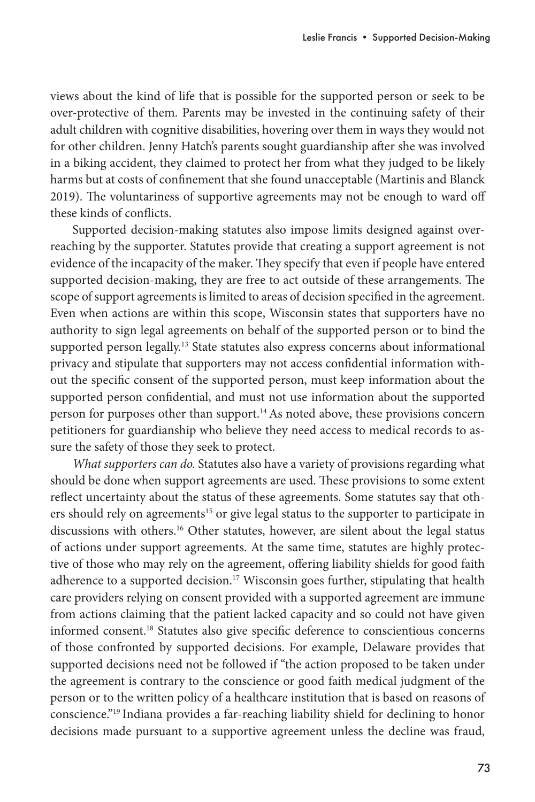views about the kind of life that is possible for the supported person or seek to be over-protective of them. Parents may be invested in the continuing safety of their adult children with cognitive disabilities, hovering over them in ways they would not for other children. Jenny Hatch's parents sought guardianship after she was involved in a biking accident, they claimed to protect her from what they judged to be likely harms but at costs of confinement that she found unacceptable (Martinis and Blanck 2019). The voluntariness of supportive agreements may not be enough to ward off these kinds of conflicts.

Supported decision-making statutes also impose limits designed against overreaching by the supporter. Statutes provide that creating a support agreement is not evidence of the incapacity of the maker. They specify that even if people have entered supported decision-making, they are free to act outside of these arrangements. The scope of support agreements is limited to areas of decision specified in the agreement. Even when actions are within this scope, Wisconsin states that supporters have no authority to sign legal agreements on behalf of the supported person or to bind the supported person legally.<sup>13</sup> State statutes also express concerns about informational privacy and stipulate that supporters may not access confidential information without the specific consent of the supported person, must keep information about the supported person confidential, and must not use information about the supported person for purposes other than support.14As noted above, these provisions concern petitioners for guardianship who believe they need access to medical records to assure the safety of those they seek to protect.

*What supporters can do.* Statutes also have a variety of provisions regarding what should be done when support agreements are used. These provisions to some extent reflect uncertainty about the status of these agreements. Some statutes say that others should rely on agreements<sup>15</sup> or give legal status to the supporter to participate in discussions with others.16 Other statutes, however, are silent about the legal status of actions under support agreements. At the same time, statutes are highly protective of those who may rely on the agreement, offering liability shields for good faith adherence to a supported decision.<sup>17</sup> Wisconsin goes further, stipulating that health care providers relying on consent provided with a supported agreement are immune from actions claiming that the patient lacked capacity and so could not have given informed consent.18 Statutes also give specific deference to conscientious concerns of those confronted by supported decisions. For example, Delaware provides that supported decisions need not be followed if "the action proposed to be taken under the agreement is contrary to the conscience or good faith medical judgment of the person or to the written policy of a healthcare institution that is based on reasons of conscience."19 Indiana provides a far-reaching liability shield for declining to honor decisions made pursuant to a supportive agreement unless the decline was fraud,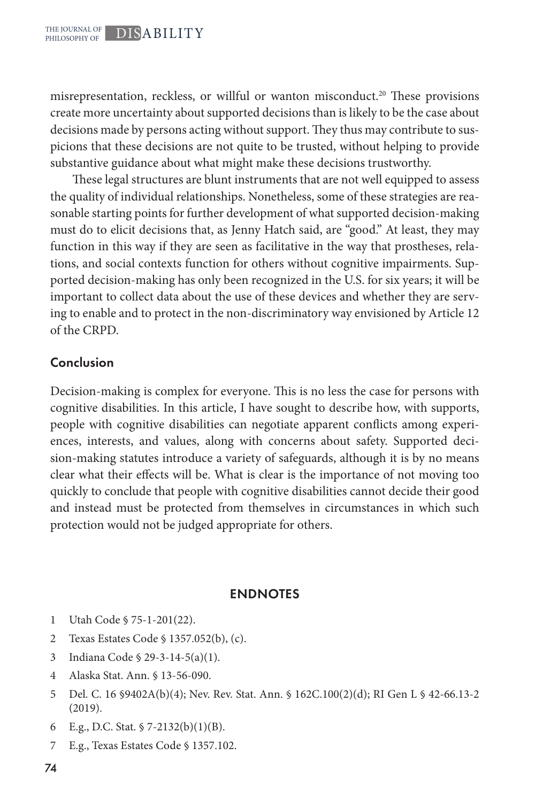misrepresentation, reckless, or willful or wanton misconduct.<sup>20</sup> These provisions create more uncertainty about supported decisions than is likely to be the case about decisions made by persons acting without support. They thus may contribute to suspicions that these decisions are not quite to be trusted, without helping to provide substantive guidance about what might make these decisions trustworthy.

These legal structures are blunt instruments that are not well equipped to assess the quality of individual relationships. Nonetheless, some of these strategies are reasonable starting points for further development of what supported decision-making must do to elicit decisions that, as Jenny Hatch said, are "good." At least, they may function in this way if they are seen as facilitative in the way that prostheses, relations, and social contexts function for others without cognitive impairments. Supported decision-making has only been recognized in the U.S. for six years; it will be important to collect data about the use of these devices and whether they are serving to enable and to protect in the non-discriminatory way envisioned by Article 12 of the CRPD.

### Conclusion

Decision-making is complex for everyone. This is no less the case for persons with cognitive disabilities. In this article, I have sought to describe how, with supports, people with cognitive disabilities can negotiate apparent conflicts among experiences, interests, and values, along with concerns about safety. Supported decision-making statutes introduce a variety of safeguards, although it is by no means clear what their effects will be. What is clear is the importance of not moving too quickly to conclude that people with cognitive disabilities cannot decide their good and instead must be protected from themselves in circumstances in which such protection would not be judged appropriate for others.

#### ENDNOTES

- 1 Utah Code § 75-1-201(22).
- 2 Texas Estates Code § 1357.052(b), (c).
- 3 Indiana Code § 29-3-14-5(a)(1).
- 4 Alaska Stat. Ann. § 13-56-090.
- 5 Del. C. 16 §9402A(b)(4); Nev. Rev. Stat. Ann. § 162C.100(2)(d); RI Gen L § 42-66.13-2 (2019).
- 6 E.g., D.C. Stat.  $\frac{5}{7}$ -2132(b)(1)(B).
- 7 E.g., Texas Estates Code § 1357.102.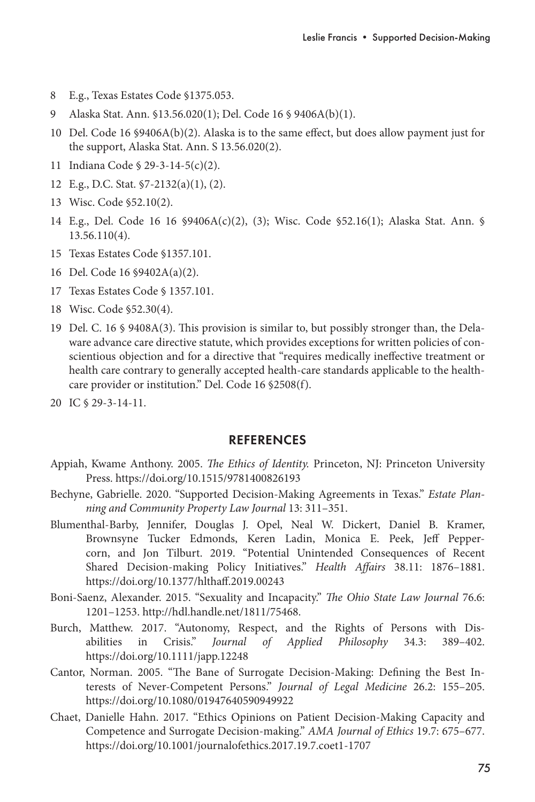- 8 E.g., Texas Estates Code §1375.053.
- 9 Alaska Stat. Ann. §13.56.020(1); Del. Code 16 § 9406A(b)(1).
- 10 Del. Code 16 §9406A(b)(2). Alaska is to the same effect, but does allow payment just for the support, Alaska Stat. Ann. S 13.56.020(2).
- 11 Indiana Code § 29-3-14-5(c)(2).
- 12 E.g., D.C. Stat. §7-2132(a)(1), (2).
- 13 Wisc. Code §52.10(2).
- 14 E.g., Del. Code 16 16 §9406A(c)(2), (3); Wisc. Code §52.16(1); Alaska Stat. Ann. § 13.56.110(4).
- 15 Texas Estates Code §1357.101.
- 16 Del. Code 16 §9402A(a)(2).
- 17 Texas Estates Code § 1357.101.
- 18 Wisc. Code §52.30(4).
- 19 Del. C. 16 § 9408A(3). This provision is similar to, but possibly stronger than, the Delaware advance care directive statute, which provides exceptions for written policies of conscientious objection and for a directive that "requires medically ineffective treatment or health care contrary to generally accepted health-care standards applicable to the healthcare provider or institution." Del. Code 16 §2508(f).
- 20 IC § 29-3-14-11.

#### **REFERENCES**

- Appiah, Kwame Anthony. 2005. *The Ethics of Identity.* Princeton, NJ: Princeton University Press. https://doi.org/10.1515/9781400826193
- Bechyne, Gabrielle. 2020. "Supported Decision-Making Agreements in Texas." *Estate Planning and Community Property Law Journal* 13: 311–351.
- Blumenthal-Barby, Jennifer, Douglas J. Opel, Neal W. Dickert, Daniel B. Kramer, Brownsyne Tucker Edmonds, Keren Ladin, Monica E. Peek, Jeff Peppercorn, and Jon Tilburt. 2019. "Potential Unintended Consequences of Recent Shared Decision-making Policy Initiatives." *Health Affairs* 38.11: 1876–1881. https://doi.org/10.1377/hlthaff.2019.00243
- Boni-Saenz, Alexander. 2015. "Sexuality and Incapacity." *The Ohio State Law Journal* 76.6: 1201–1253. http://hdl.handle.net/1811/75468.
- Burch, Matthew. 2017. "Autonomy, Respect, and the Rights of Persons with Disabilities in Crisis." *Journal of Applied Philosophy* 34.3: 389–402. https://doi.org/10.1111/japp.12248
- Cantor, Norman. 2005. "The Bane of Surrogate Decision-Making: Defining the Best Interests of Never-Competent Persons." *Journal of Legal Medicine* 26.2: 155–205. https://doi.org/10.1080/01947640590949922
- Chaet, Danielle Hahn. 2017. "Ethics Opinions on Patient Decision-Making Capacity and Competence and Surrogate Decision-making." *AMA Journal of Ethics* 19.7: 675–677. https://doi.org/10.1001/journalofethics.2017.19.7.coet1-1707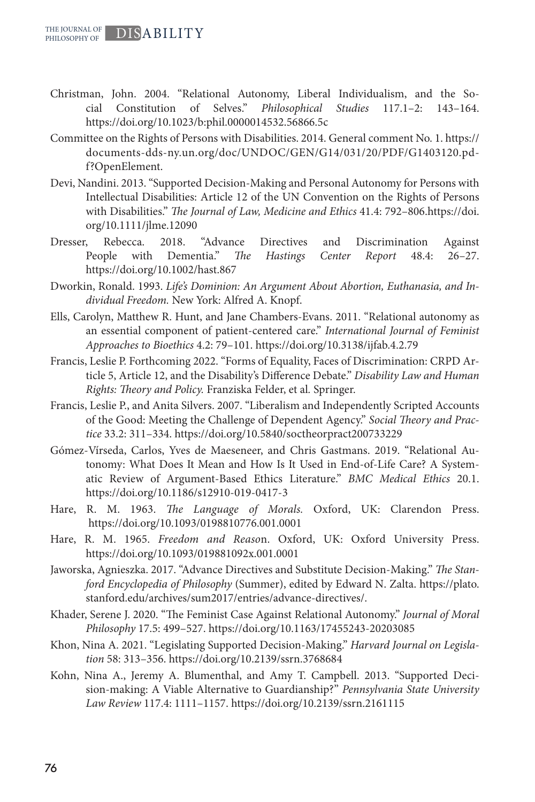- Christman, John. 2004. "Relational Autonomy, Liberal Individualism, and the Social Constitution of Selves." *Philosophical Studies* 117.1–2: 143–164. https://doi.org/10.1023/b:phil.0000014532.56866.5c
- Committee on the Rights of Persons with Disabilities. 2014. General comment No. 1. https:// documents-dds-ny.un.org/doc/UNDOC/GEN/G14/031/20/PDF/G1403120.pdf?OpenElement.
- Devi, Nandini. 2013. "Supported Decision-Making and Personal Autonomy for Persons with Intellectual Disabilities: Article 12 of the UN Convention on the Rights of Persons with Disabilities." *The Journal of Law, Medicine and Ethics* 41.4: 792–806.https://doi. org/10.1111/jlme.12090
- Dresser, Rebecca. 2018. "Advance Directives and Discrimination Against People with Dementia." *The Hastings Center Report* 48.4: 26–27. https://doi.org/10.1002/hast.867
- Dworkin, Ronald. 1993. *Life's Dominion: An Argument About Abortion, Euthanasia, and Individual Freedom.* New York: Alfred A. Knopf.
- Ells, Carolyn, Matthew R. Hunt, and Jane Chambers-Evans. 2011. "Relational autonomy as an essential component of patient-centered care." *International Journal of Feminist Approaches to Bioethics* 4.2: 79–101. https://doi.org/10.3138/ijfab.4.2.79
- Francis, Leslie P. Forthcoming 2022. "Forms of Equality, Faces of Discrimination: CRPD Article 5, Article 12, and the Disability's Difference Debate." *Disability Law and Human Rights: Theory and Policy.* Franziska Felder, et al*.* Springer.
- Francis, Leslie P., and Anita Silvers. 2007. "Liberalism and Independently Scripted Accounts of the Good: Meeting the Challenge of Dependent Agency." *Social Theory and Practice* 33.2: 311–334. https://doi.org/10.5840/soctheorpract200733229
- Gómez-Vírseda, Carlos, Yves de Maeseneer, and Chris Gastmans. 2019. "Relational Autonomy: What Does It Mean and How Is It Used in End-of-Life Care? A Systematic Review of Argument-Based Ethics Literature." *BMC Medical Ethics* 20.1. https://doi.org/10.1186/s12910-019-0417-3
- Hare, R. M. 1963. *The Language of Morals.* Oxford, UK: Clarendon Press. https://doi.org/10.1093/0198810776.001.0001
- Hare, R. M. 1965. *Freedom and Reaso*n. Oxford, UK: Oxford University Press. https://doi.org/10.1093/019881092x.001.0001
- Jaworska, Agnieszka. 2017. "Advance Directives and Substitute Decision-Making." *The Stanford Encyclopedia of Philosophy* (Summer), edited by Edward N. Zalta. https://plato. stanford.edu/archives/sum2017/entries/advance-directives/.
- Khader, Serene J. 2020. "The Feminist Case Against Relational Autonomy." *Journal of Moral Philosophy* 17.5: 499–527. https://doi.org/10.1163/17455243-20203085
- Khon, Nina A. 2021. "Legislating Supported Decision-Making." *Harvard Journal on Legislation* 58: 313–356. https://doi.org/10.2139/ssrn.3768684
- Kohn, Nina A., Jeremy A. Blumenthal, and Amy T. Campbell. 2013. "Supported Decision-making: A Viable Alternative to Guardianship?" *Pennsylvania State University Law Review* 117.4: 1111–1157. https://doi.org/10.2139/ssrn.2161115